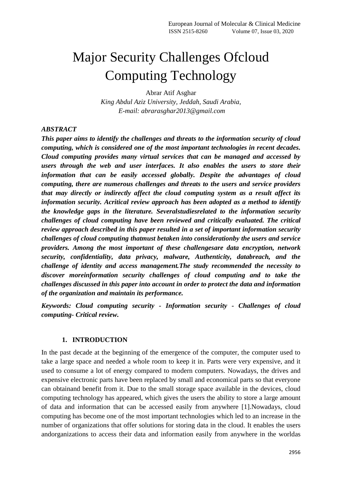# Major Security Challenges Ofcloud Computing Technology

Abrar Atif Asghar *King Abdul Aziz University, Jeddah, Saudi Arabia, E-mail: abrarasghar2013@gmail.com*

#### *ABSTRACT*

*This paper aims to identify the challenges and threats to the information security of cloud computing, which is considered one of the most important technologies in recent decades. Cloud computing provides many virtual services that can be managed and accessed by users through the web and user interfaces. It also enables the users to store their information that can be easily accessed globally. Despite the advantages of cloud computing, there are numerous challenges and threats to the users and service providers that may directly or indirectly affect the cloud computing system as a result affect its information security. Acritical review approach has been adopted as a method to identify the knowledge gaps in the literature. Severalstudiesrelated to the information security challenges of cloud computing have been reviewed and critically evaluated. The critical review approach described in this paper resulted in a set of important information security challenges of cloud computing thatmust betaken into considerationby the users and service providers. Among the most important of these challengesare data encryption, network security, confidentiality, data privacy, malware, Authenticity, databreach, and the challenge of identity and access management.The study recommended the necessity to discover moreinformation security challenges of cloud computing and to take the challenges discussed in this paper into account in order to protect the data and information of the organization and maintain its performance.*

*Keywords: Cloud computing security - Information security - Challenges of cloud computing- Critical review.*

#### **1. INTRODUCTION**

In the past decade at the beginning of the emergence of the computer, the computer used to take a large space and needed a whole room to keep it in. Parts were very expensive, and it used to consume a lot of energy compared to modern computers. Nowadays, the drives and expensive electronic parts have been replaced by small and economical parts so that everyone can obtainand benefit from it. Due to the small storage space available in the devices, cloud computing technology has appeared, which gives the users the ability to store a large amount of data and information that can be accessed easily from anywhere [1].Nowadays, cloud computing has become one of the most important technologies which led to an increase in the number of organizations that offer solutions for storing data in the cloud. It enables the users andorganizations to access their data and information easily from anywhere in the worldas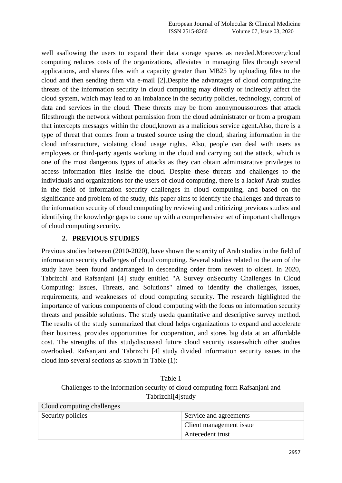well asallowing the users to expand their data storage spaces as needed.Moreover,cloud computing reduces costs of the organizations, alleviates in managing files through several applications, and shares files with a capacity greater than MB25 by uploading files to the cloud and then sending them via e-mail [2].Despite the advantages of cloud computing,the threats of the information security in cloud computing may directly or indirectly affect the cloud system, which may lead to an imbalance in the security policies, technology, control of data and services in the cloud. These threats may be from anonymoussources that attack filesthrough the network without permission from the cloud administrator or from a program that intercepts messages within the cloud,known as a malicious service agent.Also, there is a type of threat that comes from a trusted source using the cloud, sharing information in the cloud infrastructure, violating cloud usage rights. Also, people can deal with users as employees or third-party agents working in the cloud and carrying out the attack, which is one of the most dangerous types of attacks as they can obtain administrative privileges to access information files inside the cloud. Despite these threats and challenges to the individuals and organizations for the users of cloud computing, there is a lackof Arab studies in the field of information security challenges in cloud computing, and based on the significance and problem of the study, this paper aims to identify the challenges and threats to the information security of cloud computing by reviewing and criticizing previous studies and identifying the knowledge gaps to come up with a comprehensive set of important challenges of cloud computing security.

# **2. PREVIOUS STUDIES**

Previous studies between (2010-2020), have shown the scarcity of Arab studies in the field of information security challenges of cloud computing. Several studies related to the aim of the study have been found andarranged in descending order from newest to oldest. In 2020, Tabrizchi and Rafsanjani [4] study entitled "A Survey onSecurity Challenges in Cloud Computing: Issues, Threats, and Solutions" aimed to identify the challenges, issues, requirements, and weaknesses of cloud computing security. The research highlighted the importance of various components of cloud computing with the focus on information security threats and possible solutions. The study useda quantitative and descriptive survey method. The results of the study summarized that cloud helps organizations to expand and accelerate their business, provides opportunities for cooperation, and stores big data at an affordable cost. The strengths of this studydiscussed future cloud security issueswhich other studies overlooked. Rafsanjani and Tabrizchi [4] study divided information security issues in the cloud into several sections as shown in Table (1):

Table 1 Challenges to the information security of cloud computing form Rafsanjani and Tabrizchi[4]study

| Cloud computing challenges |                         |  |
|----------------------------|-------------------------|--|
| Security policies          | Service and agreements  |  |
|                            | Client management issue |  |
|                            | Antecedent trust        |  |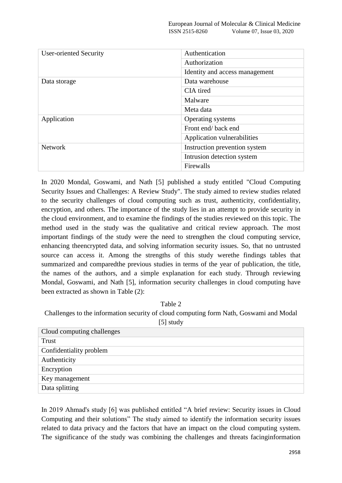| <b>User-oriented Security</b> | Authentication                 |  |
|-------------------------------|--------------------------------|--|
|                               | Authorization                  |  |
|                               | Identity and access management |  |
| Data storage                  | Data warehouse                 |  |
|                               | CIA tired                      |  |
|                               | Malware                        |  |
|                               | Meta data                      |  |
| Application                   | Operating systems              |  |
|                               | Front end/back end             |  |
|                               | Application vulnerabilities    |  |
| <b>Network</b>                | Instruction prevention system  |  |
|                               | Intrusion detection system     |  |
|                               | Firewalls                      |  |

In 2020 Mondal, Goswami, and Nath [5] published a study entitled "Cloud Computing Security Issues and Challenges: A Review Study". The study aimed to review studies related to the security challenges of cloud computing such as trust, authenticity, confidentiality, encryption, and others. The importance of the study lies in an attempt to provide security in the cloud environment, and to examine the findings of the studies reviewed on this topic. The method used in the study was the qualitative and critical review approach. The most important findings of the study were the need to strengthen the cloud computing service, enhancing theencrypted data, and solving information security issues. So, that no untrusted source can access it. Among the strengths of this study werethe findings tables that summarized and comparedthe previous studies in terms of the year of publication, the title, the names of the authors, and a simple explanation for each study. Through reviewing Mondal, Goswami, and Nath [5], information security challenges in cloud computing have been extracted as shown in Table (2):

Table 2 Challenges to the information security of cloud computing form Nath, Goswami and Modal [5] study

In 2019 Ahmad's study [6] was published entitled "A brief review: Security issues in Cloud Computing and their solutions" The study aimed to identify the information security issues related to data privacy and the factors that have an impact on the cloud computing system. The significance of the study was combining the challenges and threats facinginformation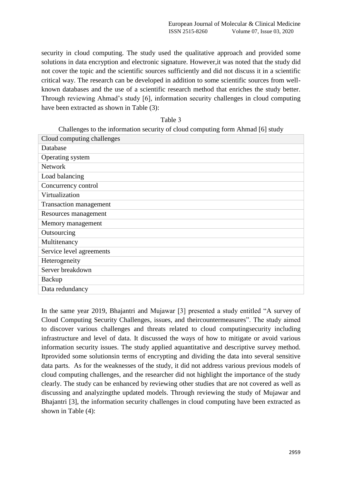security in cloud computing. The study used the qualitative approach and provided some solutions in data encryption and electronic signature. However,it was noted that the study did not cover the topic and the scientific sources sufficiently and did not discuss it in a scientific critical way. The research can be developed in addition to some scientific sources from wellknown databases and the use of a scientific research method that enriches the study better. Through reviewing Ahmad"s study [6], information security challenges in cloud computing have been extracted as shown in Table (3):

| ani |  |
|-----|--|
|-----|--|

Challenges to the information security of cloud computing form Ahmad [6] study

| Cloud computing challenges |
|----------------------------|
| Database                   |
| Operating system           |
| <b>Network</b>             |
| Load balancing             |
| Concurrency control        |
| Virtualization             |
| Transaction management     |
| Resources management       |
| Memory management          |
| Outsourcing                |
| Multitenancy               |
| Service level agreements   |
| Heterogeneity              |
| Server breakdown           |
| Backup                     |
| Data redundancy            |
|                            |

In the same year 2019, Bhajantri and Mujawar [3] presented a study entitled "A survey of Cloud Computing Security Challenges, issues, and theircountermeasures". The study aimed to discover various challenges and threats related to cloud computingsecurity including infrastructure and level of data. It discussed the ways of how to mitigate or avoid various information security issues. The study applied aquantitative and descriptive survey method. Itprovided some solutionsin terms of encrypting and dividing the data into several sensitive data parts. As for the weaknesses of the study, it did not address various previous models of cloud computing challenges, and the researcher did not highlight the importance of the study clearly. The study can be enhanced by reviewing other studies that are not covered as well as discussing and analyzingthe updated models. Through reviewing the study of Mujawar and Bhajantri [3], the information security challenges in cloud computing have been extracted as shown in Table (4):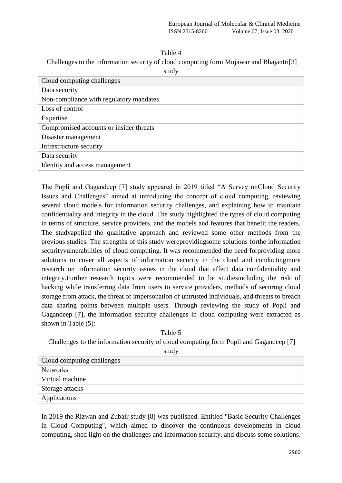Challenges to the information security of cloud computing form Mujawar and Bhajantri[3]

| Cloud computing challenges              |
|-----------------------------------------|
| Data security                           |
| Non-compliance with regulatory mandates |
| Loss of control                         |
| Expertise                               |
| Compromised accounts or insider threats |
| Disaster management                     |
| Infrastructure security                 |
| Data security                           |
| Identity and access management          |

The Popli and Gagandeep [7] study appeared in 2019 titled "A Survey onCloud Security Issues and Challenges" aimed at introducing the concept of cloud computing, reviewing several cloud models for information security challenges, and explaining how to maintain confidentiality and integrity in the cloud. The study highlighted the types of cloud computing in terms of structure, service providers, and the models and features that benefit the readers. The studyapplied the qualitative approach and reviewed some other methods from the previous studies. The strengths of this study wereprovidingsome solutions forthe information securityvulnerabilities of cloud computing. It was recommended the need forproviding more solutions to cover all aspects of information security in the cloud and conductingmore research on information security issues in the cloud that affect data confidentiality and integrity.Further research topics were recommended to be studiesincluding the risk of hacking while transferring data from users to service providers, methods of securing cloud storage from attack, the threat of impersonation of untrusted individuals, and threats to breach data sharing points between multiple users. Through reviewing the study of Popli and Gagandeep [7], the information security challenges in cloud computing were extracted as shown in Table (5):

# Table 5 Challenges to the information security of cloud computing form Popli and Gagandeep [7]

| Cloud computing challenges |
|----------------------------|
| <b>Networks</b>            |
| Virtual machine            |
| Storage attacks            |
| Applications               |
|                            |

In 2019 the Rizwan and Zubair study [8] was published. Entitled "Basic Security Challenges in Cloud Computing", which aimed to discover the continuous developments in cloud computing, shed light on the challenges and information security, and discuss some solutions.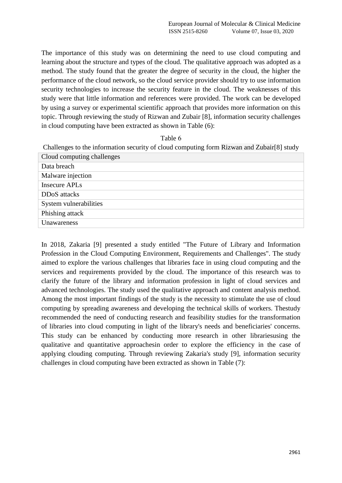The importance of this study was on determining the need to use cloud computing and learning about the structure and types of the cloud. The qualitative approach was adopted as a method. The study found that the greater the degree of security in the cloud, the higher the performance of the cloud network, so the cloud service provider should try to use information security technologies to increase the security feature in the cloud. The weaknesses of this study were that little information and references were provided. The work can be developed by using a survey or experimental scientific approach that provides more information on this topic. Through reviewing the study of Rizwan and Zubair [8], information security challenges in cloud computing have been extracted as shown in Table (6):

#### Table 6

Challenges to the information security of cloud computing form Rizwan and Zubair[8] study

| Data breach               |
|---------------------------|
| Malware injection         |
| Insecure APL <sub>s</sub> |
| DD <sub>o</sub> S attacks |
| System vulnerabilities    |
| Phishing attack           |
| Unawareness               |

In 2018, Zakaria [9] presented a study entitled "The Future of Library and Information Profession in the Cloud Computing Environment, Requirements and Challenges". The study aimed to explore the various challenges that libraries face in using cloud computing and the services and requirements provided by the cloud. The importance of this research was to clarify the future of the library and information profession in light of cloud services and advanced technologies. The study used the qualitative approach and content analysis method. Among the most important findings of the study is the necessity to stimulate the use of cloud computing by spreading awareness and developing the technical skills of workers. Thestudy recommended the need of conducting research and feasibility studies for the transformation of libraries into cloud computing in light of the library's needs and beneficiaries' concerns. This study can be enhanced by conducting more research in other librariesusing the qualitative and quantitative approachesin order to explore the efficiency in the case of applying clouding computing. Through reviewing Zakaria's study [9], information security challenges in cloud computing have been extracted as shown in Table (7):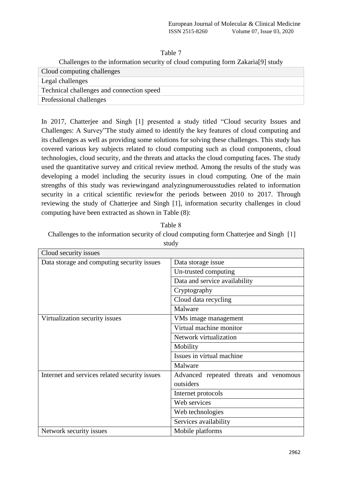Challenges to the information security of cloud computing form Zakaria[9] study

| Cloud computing challenges                |  |  |
|-------------------------------------------|--|--|
| Legal challenges                          |  |  |
| Technical challenges and connection speed |  |  |
| Professional challenges                   |  |  |

In 2017, Chatterjee and Singh [1] presented a study titled "Cloud security Issues and Challenges: A Survey"The study aimed to identify the key features of cloud computing and its challenges as well as providing some solutions for solving these challenges. This study has covered various key subjects related to cloud computing such as cloud components, cloud technologies, cloud security, and the threats and attacks the cloud computing faces. The study used the quantitative survey and critical review method. Among the results of the study was developing a model including the security issues in cloud computing. One of the main strengths of this study was reviewingand analyzingnumerousstudies related to information security in a critical scientific reviewfor the periods between 2010 to 2017. Through reviewing the study of Chatterjee and Singh [1], information security challenges in cloud computing have been extracted as shown in Table (8):

| Table 8                                                                                 |  |
|-----------------------------------------------------------------------------------------|--|
| Challenges to the information security of cloud computing form Chatterjee and Singh [1] |  |

| Cloud security issues                         |                                        |  |  |  |  |  |  |  |
|-----------------------------------------------|----------------------------------------|--|--|--|--|--|--|--|
| Data storage and computing security issues    | Data storage issue                     |  |  |  |  |  |  |  |
|                                               | Un-trusted computing                   |  |  |  |  |  |  |  |
|                                               | Data and service availability          |  |  |  |  |  |  |  |
|                                               | Cryptography                           |  |  |  |  |  |  |  |
|                                               | Cloud data recycling                   |  |  |  |  |  |  |  |
|                                               | Malware                                |  |  |  |  |  |  |  |
| Virtualization security issues                | VMs image management                   |  |  |  |  |  |  |  |
|                                               | Virtual machine monitor                |  |  |  |  |  |  |  |
|                                               | Network virtualization                 |  |  |  |  |  |  |  |
|                                               | Mobility                               |  |  |  |  |  |  |  |
|                                               | Issues in virtual machine              |  |  |  |  |  |  |  |
|                                               | Malware                                |  |  |  |  |  |  |  |
| Internet and services related security issues | Advanced repeated threats and venomous |  |  |  |  |  |  |  |
|                                               | outsiders                              |  |  |  |  |  |  |  |
|                                               | Internet protocols                     |  |  |  |  |  |  |  |
|                                               | Web services                           |  |  |  |  |  |  |  |
|                                               | Web technologies                       |  |  |  |  |  |  |  |
|                                               | Services availability                  |  |  |  |  |  |  |  |
| Network security issues                       | Mobile platforms                       |  |  |  |  |  |  |  |

study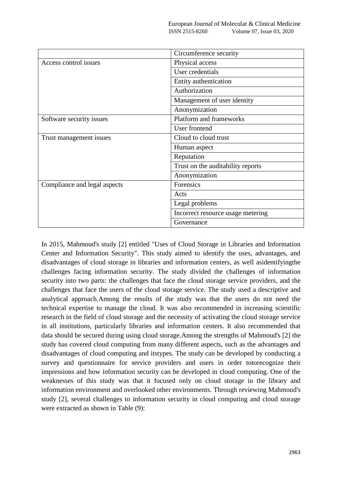|                              | Circumference security            |  |  |  |  |  |
|------------------------------|-----------------------------------|--|--|--|--|--|
| Access control issues        | Physical access                   |  |  |  |  |  |
|                              | User credentials                  |  |  |  |  |  |
|                              | Entity authentication             |  |  |  |  |  |
|                              | Authorization                     |  |  |  |  |  |
|                              | Management of user identity       |  |  |  |  |  |
|                              | Anonymization                     |  |  |  |  |  |
| Software security issues     | Platform and frameworks           |  |  |  |  |  |
|                              | User frontend                     |  |  |  |  |  |
| Trust management issues      | Cloud to cloud trust              |  |  |  |  |  |
|                              | Human aspect                      |  |  |  |  |  |
|                              | Reputation                        |  |  |  |  |  |
|                              | Trust on the auditability reports |  |  |  |  |  |
|                              | Anonymization                     |  |  |  |  |  |
| Compliance and legal aspects | Forensics                         |  |  |  |  |  |
|                              | Acts                              |  |  |  |  |  |
|                              | Legal problems                    |  |  |  |  |  |
|                              | Incorrect resource usage metering |  |  |  |  |  |
|                              | Governance                        |  |  |  |  |  |

In 2015, Mahmoud's study [2] entitled "Uses of Cloud Storage in Libraries and Information Center and Information Security". This study aimed to identify the uses, advantages, and disadvantages of cloud storage in libraries and information centers, as well asidentifyingthe challenges facing information security. The study divided the challenges of information security into two parts: the challenges that face the cloud storage service providers, and the challenges that face the users of the cloud storage service. The study used a descriptive and analytical approach.Among the results of the study was that the users do not need the technical expertise to manage the cloud. It was also recommended in increasing scientific research in the field of cloud storage and the necessity of activating the cloud storage service in all institutions, particularly libraries and information centers. It also recommended that data should be secured during using cloud storage.Among the strengths of Mahmoud's [2] the study has covered cloud computing from many different aspects, such as the advantages and disadvantages of cloud computing and itstypes. The study can be developed by conducting a survey and questionnaire for service providers and users in order totorecognize their impressions and how information security can be developed in cloud computing. One of the weaknesses of this study was that it focused only on cloud storage in the library and information environment and overlooked other environments. Through reviewing Mahmoud's study [2], several challenges to information security in cloud computing and cloud storage were extracted as shown in Table (9):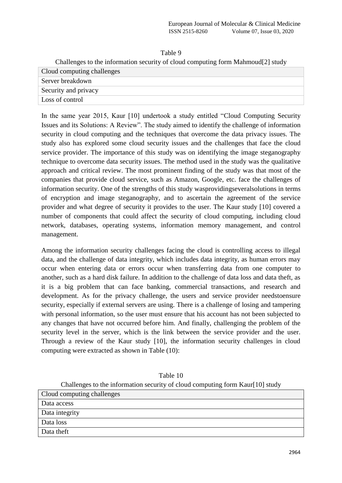| Challenges to the information security of cloud computing form Mahmoud <sup>[2]</sup> study |
|---------------------------------------------------------------------------------------------|
| Cloud computing challenges                                                                  |
| Server breakdown                                                                            |
| Security and privacy                                                                        |
| Loss of control                                                                             |

In the same year 2015, Kaur [10] undertook a study entitled "Cloud Computing Security Issues and its Solutions: A Review". The study aimed to identify the challenge of information security in cloud computing and the techniques that overcome the data privacy issues. The study also has explored some cloud security issues and the challenges that face the cloud service provider. The importance of this study was on identifying the image steganography technique to overcome data security issues. The method used in the study was the qualitative approach and critical review. The most prominent finding of the study was that most of the companies that provide cloud service, such as Amazon, Google, etc. face the challenges of information security. One of the strengths of this study wasprovidingseveralsolutions in terms of encryption and image steganography, and to ascertain the agreement of the service provider and what degree of security it provides to the user. The Kaur study [10] covered a number of components that could affect the security of cloud computing, including cloud network, databases, operating systems, information memory management, and control management.

Among the information security challenges facing the cloud is controlling access to illegal data, and the challenge of data integrity, which includes data integrity, as human errors may occur when entering data or errors occur when transferring data from one computer to another, such as a hard disk failure. In addition to the challenge of data loss and data theft, as it is a big problem that can face banking, commercial transactions, and research and development. As for the privacy challenge, the users and service provider needstoensure security, especially if external servers are using. There is a challenge of losing and tampering with personal information, so the user must ensure that his account has not been subjected to any changes that have not occurred before him. And finally, challenging the problem of the security level in the server, which is the link between the service provider and the user. Through a review of the Kaur study [10], the information security challenges in cloud computing were extracted as shown in Table (10):

|                            | e information security of cloud computing for |
|----------------------------|-----------------------------------------------|
| $\mathbf{u} \alpha \alpha$ |                                               |

Table 10

Challenges to the information security of cloud computing form Kaur[10] study Cloud computing challenges

| . .<br>ີ<br>ຼ  |  |
|----------------|--|
| Data access    |  |
| Data integrity |  |
| Data loss      |  |
| Data theft     |  |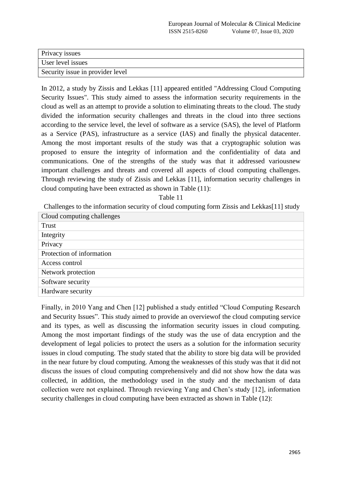| Privacy issues                   |
|----------------------------------|
| User level issues                |
| Security issue in provider level |

In 2012, a study by Zissis and Lekkas [11] appeared entitled "Addressing Cloud Computing Security Issues". This study aimed to assess the information security requirements in the cloud as well as an attempt to provide a solution to eliminating threats to the cloud. The study divided the information security challenges and threats in the cloud into three sections according to the service level, the level of software as a service (SAS), the level of Platform as a Service (PAS), infrastructure as a service (IAS) and finally the physical datacenter. Among the most important results of the study was that a cryptographic solution was proposed to ensure the integrity of information and the confidentiality of data and communications. One of the strengths of the study was that it addressed variousnew important challenges and threats and covered all aspects of cloud computing challenges. Through reviewing the study of Zissis and Lekkas [11], information security challenges in cloud computing have been extracted as shown in Table (11):

Table 11

Challenges to the information security of cloud computing form Zissis and Lekkas[11] study

| Cloud computing challenges |
|----------------------------|
| Trust                      |
| Integrity                  |
| Privacy                    |
| Protection of information  |
| Access control             |
| Network protection         |
| Software security          |
| Hardware security          |
|                            |

Finally, in 2010 Yang and Chen [12] published a study entitled "Cloud Computing Research and Security Issues". This study aimed to provide an overviewof the cloud computing service and its types, as well as discussing the information security issues in cloud computing. Among the most important findings of the study was the use of data encryption and the development of legal policies to protect the users as a solution for the information security issues in cloud computing. The study stated that the ability to store big data will be provided in the near future by cloud computing. Among the weaknesses of this study was that it did not discuss the issues of cloud computing comprehensively and did not show how the data was collected, in addition, the methodology used in the study and the mechanism of data collection were not explained. Through reviewing Yang and Chen"s study [12], information security challenges in cloud computing have been extracted as shown in Table (12):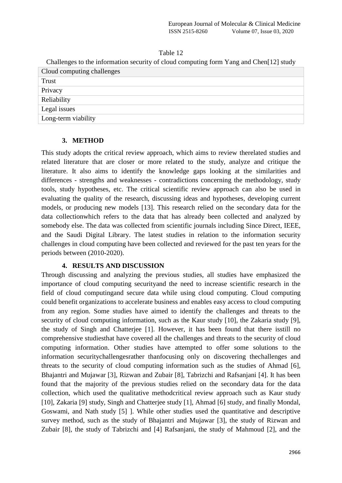Challenges to the information security of cloud computing form Yang and Chen[12] study Cloud computing challenges

| $\epsilon$ comparing enancing $\epsilon$ |
|------------------------------------------|
| Trust                                    |
| Privacy                                  |
| Reliability                              |
| Legal issues                             |
| Long-term viability                      |

#### **3. METHOD**

This study adopts the critical review approach, which aims to review therelated studies and related literature that are closer or more related to the study, analyze and critique the literature. It also aims to identify the knowledge gaps looking at the similarities and differences - strengths and weaknesses - contradictions concerning the methodology, study tools, study hypotheses, etc. The critical scientific review approach can also be used in evaluating the quality of the research, discussing ideas and hypotheses, developing current models, or producing new models [13]. This research relied on the secondary data for the data collectionwhich refers to the data that has already been collected and analyzed by somebody else. The data was collected from scientific journals including Since Direct, IEEE, and the Saudi Digital Library. The latest studies in relation to the information security challenges in cloud computing have been collected and reviewed for the past ten years for the periods between (2010-2020).

#### **4. RESULTS AND DISCUSSION**

Through discussing and analyzing the previous studies, all studies have emphasized the importance of cloud computing securityand the need to increase scientific research in the field of cloud computingand secure data while using cloud computing. Cloud computing could benefit organizations to accelerate business and enables easy access to cloud computing from any region. Some studies have aimed to identify the challenges and threats to the security of cloud computing information, such as the Kaur study [10], the Zakaria study [9], the study of Singh and Chatterjee [1]. However, it has been found that there isstill no comprehensive studiesthat have covered all the challenges and threats to the security of cloud computing information. Other studies have attempted to offer some solutions to the information securitychallengesrather thanfocusing only on discovering thechallenges and threats to the security of cloud computing information such as the studies of Ahmad [6], Bhajantri and Mujawar [3], Rizwan and Zubair [8], Tabrizchi and Rafsanjani [4]. It has been found that the majority of the previous studies relied on the secondary data for the data collection, which used the qualitative methodcritical review approach such as Kaur study [10], Zakaria [9] study, Singh and Chatterjee study [1], Ahmad [6] study, and finally Mondal, Goswami, and Nath study [5] ]. While other studies used the quantitative and descriptive survey method, such as the study of Bhajantri and Mujawar [3], the study of Rizwan and Zubair [8], the study of Tabrizchi and [4] Rafsanjani, the study of Mahmoud [2], and the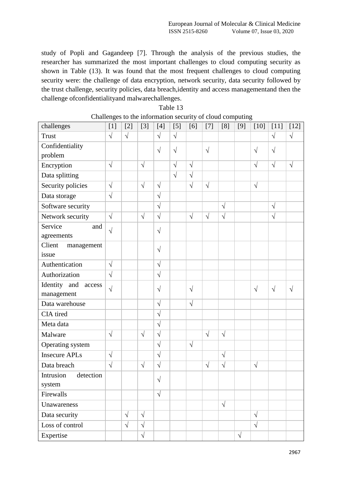study of Popli and Gagandeep [7]. Through the analysis of the previous studies, the researcher has summarized the most important challenges to cloud computing security as shown in Table (13). It was found that the most frequent challenges to cloud computing security were: the challenge of data encryption, network security, data security followed by the trust challenge, security policies, data breach,identity and access managementand then the challenge ofconfidentialityand malwarechallenges.

| challenges                | O<br>$[1]$            | $[2]$      | $[3]$      | $[4]$      | $[5]$      | [6]        | $[7]$      | [8]       | O<br>[9]  | $[10]$     | $[11]$     | $[12]$     |
|---------------------------|-----------------------|------------|------------|------------|------------|------------|------------|-----------|-----------|------------|------------|------------|
| <b>Trust</b>              | $\sqrt{}$             | $\sqrt{ }$ |            | $\sqrt{}$  | $\sqrt{ }$ |            |            |           |           |            | $\sqrt{}$  | $\sqrt{ }$ |
| Confidentiality           |                       |            |            | $\sqrt{}$  | $\sqrt{}$  |            | $\sqrt{}$  |           |           | $\sqrt{ }$ | $\sqrt{}$  |            |
| problem                   |                       |            |            |            |            |            |            |           |           |            |            |            |
| Encryption                | $\sqrt{}$             |            | $\sqrt{}$  |            | $\sqrt{}$  | $\sqrt{}$  |            |           |           | $\sqrt{}$  | $\sqrt{}$  | $\sqrt{}$  |
| Data splitting            |                       |            |            |            | $\sqrt{}$  | $\sqrt{}$  |            |           |           |            |            |            |
| Security policies         | $\sqrt{}$             |            | $\sqrt{}$  | $\sqrt{}$  |            | $\sqrt{}$  | $\sqrt{}$  |           |           | $\sqrt{}$  |            |            |
| Data storage              | $\sqrt{}$             |            |            | $\sqrt{}$  |            |            |            |           |           |            |            |            |
| Software security         |                       |            |            | $\sqrt{ }$ |            |            |            | $\sqrt{}$ |           |            | $\sqrt{}$  |            |
| Network security          | $\sqrt{ }$            |            | $\sqrt{2}$ | $\sqrt{}$  |            | $\sqrt{}$  | $\sqrt{}$  | $\sqrt{}$ |           |            | $\sqrt{ }$ |            |
| Service<br>and            | $\sqrt{ }$            |            |            | $\sqrt{}$  |            |            |            |           |           |            |            |            |
| agreements                |                       |            |            |            |            |            |            |           |           |            |            |            |
| Client<br>management      |                       |            |            | $\sqrt{}$  |            |            |            |           |           |            |            |            |
| issue                     |                       |            |            |            |            |            |            |           |           |            |            |            |
| Authentication            | $\overline{\sqrt{2}}$ |            |            | $\sqrt{}$  |            |            |            |           |           |            |            |            |
| Authorization             | $\sqrt{ }$            |            |            | $\sqrt{2}$ |            |            |            |           |           |            |            |            |
| Identity<br>and<br>access | $\sqrt{ }$            |            |            | $\sqrt{}$  |            | $\sqrt{ }$ |            |           |           | $\sqrt{ }$ | $\sqrt{}$  | $\sqrt{}$  |
| management                |                       |            |            |            |            |            |            |           |           |            |            |            |
| Data warehouse            |                       |            |            | $\sqrt{}$  |            | $\sqrt{}$  |            |           |           |            |            |            |
| CIA tired                 |                       |            |            | $\sqrt{}$  |            |            |            |           |           |            |            |            |
| Meta data                 |                       |            |            | $\sqrt{}$  |            |            |            |           |           |            |            |            |
| Malware                   | $\sqrt{}$             |            | $\sqrt{}$  | $\sqrt{}$  |            |            | $\sqrt{ }$ | $\sqrt{}$ |           |            |            |            |
| Operating system          |                       |            |            | $\sqrt{}$  |            | $\sqrt{ }$ |            |           |           |            |            |            |
| <b>Insecure APLs</b>      | $\sqrt{}$             |            |            | $\sqrt{}$  |            |            |            | $\sqrt{}$ |           |            |            |            |
| Data breach               | $\sqrt{ }$            |            | $\sqrt{}$  | $\sqrt{}$  |            |            | $\sqrt{}$  | $\sqrt{}$ |           | $\sqrt{ }$ |            |            |
| Intrusion<br>detection    |                       |            |            | $\sqrt{}$  |            |            |            |           |           |            |            |            |
| system                    |                       |            |            |            |            |            |            |           |           |            |            |            |
| Firewalls                 |                       |            |            | $\sqrt{}$  |            |            |            |           |           |            |            |            |
| Unawareness               |                       |            |            |            |            |            |            | $\sqrt{}$ |           |            |            |            |
| Data security             |                       | $\sqrt{}$  | $\sqrt{}$  |            |            |            |            |           |           | $\sqrt{ }$ |            |            |
| Loss of control           |                       | $\sqrt{ }$ | $\sqrt{ }$ |            |            |            |            |           |           | $\sqrt{ }$ |            |            |
| Expertise                 |                       |            | $\sqrt{2}$ |            |            |            |            |           | $\sqrt{}$ |            |            |            |

# Table 13 Challenges to the information security of cloud computing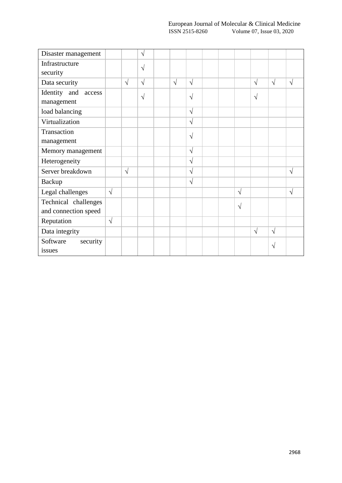| Disaster management    |            |            | $\sqrt{}$  |            |            |  |               |            |            |            |
|------------------------|------------|------------|------------|------------|------------|--|---------------|------------|------------|------------|
| Infrastructure         |            |            | $\sqrt{ }$ |            |            |  |               |            |            |            |
| security               |            |            |            |            |            |  |               |            |            |            |
| Data security          |            | $\sqrt{ }$ | $\sqrt{ }$ | $\sqrt{ }$ | $\sqrt{}$  |  |               | $\sqrt{ }$ | $\sqrt{ }$ | $\sqrt{}$  |
| Identity and<br>access |            |            | $\sqrt{ }$ |            | V          |  |               | $\sqrt{}$  |            |            |
| management             |            |            |            |            |            |  |               |            |            |            |
| load balancing         |            |            |            |            | $\sqrt{}$  |  |               |            |            |            |
| Virtualization         |            |            |            |            | $\sqrt{2}$ |  |               |            |            |            |
| Transaction            |            |            |            |            | $\sqrt{}$  |  |               |            |            |            |
| management             |            |            |            |            |            |  |               |            |            |            |
| Memory management      |            |            |            |            | $\sqrt{}$  |  |               |            |            |            |
| Heterogeneity          |            |            |            |            | $\sqrt{}$  |  |               |            |            |            |
| Server breakdown       |            | $\sqrt{2}$ |            |            | $\sqrt{}$  |  |               |            |            | $\sqrt{ }$ |
| <b>Backup</b>          |            |            |            |            | $\sqrt{}$  |  |               |            |            |            |
| Legal challenges       | $\sqrt{}$  |            |            |            |            |  | $\sqrt{ }$    |            |            | $\sqrt{}$  |
| Technical challenges   |            |            |            |            |            |  | $\mathcal{N}$ |            |            |            |
| and connection speed   |            |            |            |            |            |  |               |            |            |            |
| Reputation             | $\sqrt{ }$ |            |            |            |            |  |               |            |            |            |
| Data integrity         |            |            |            |            |            |  |               | $\sqrt{ }$ | $\sqrt{ }$ |            |
| Software<br>security   |            |            |            |            |            |  |               |            | V          |            |
| issues                 |            |            |            |            |            |  |               |            |            |            |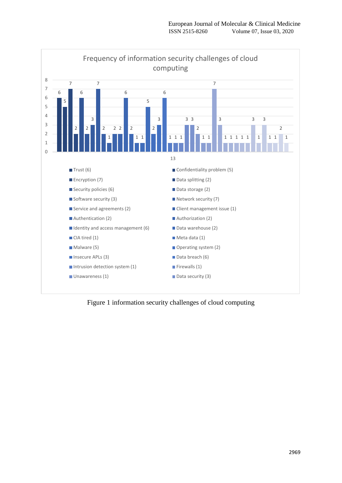

Figure 1 information security challenges of cloud computing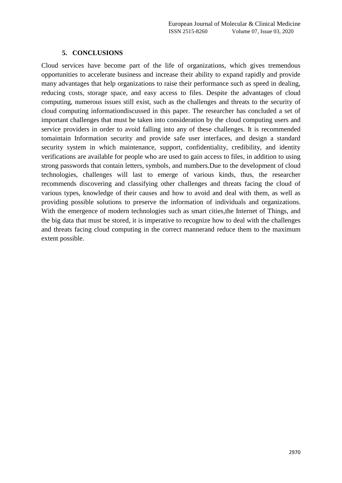# **5. CONCLUSIONS**

Cloud services have become part of the life of organizations, which gives tremendous opportunities to accelerate business and increase their ability to expand rapidly and provide many advantages that help organizations to raise their performance such as speed in dealing, reducing costs, storage space, and easy access to files. Despite the advantages of cloud computing, numerous issues still exist, such as the challenges and threats to the security of cloud computing informationdiscussed in this paper. The researcher has concluded a set of important challenges that must be taken into consideration by the cloud computing users and service providers in order to avoid falling into any of these challenges. It is recommended tomaintain Information security and provide safe user interfaces, and design a standard security system in which maintenance, support, confidentiality, credibility, and identity verifications are available for people who are used to gain access to files, in addition to using strong passwords that contain letters, symbols, and numbers.Due to the development of cloud technologies, challenges will last to emerge of various kinds, thus, the researcher recommends discovering and classifying other challenges and threats facing the cloud of various types, knowledge of their causes and how to avoid and deal with them, as well as providing possible solutions to preserve the information of individuals and organizations. With the emergence of modern technologies such as smart cities, the Internet of Things, and the big data that must be stored, it is imperative to recognize how to deal with the challenges and threats facing cloud computing in the correct mannerand reduce them to the maximum extent possible.